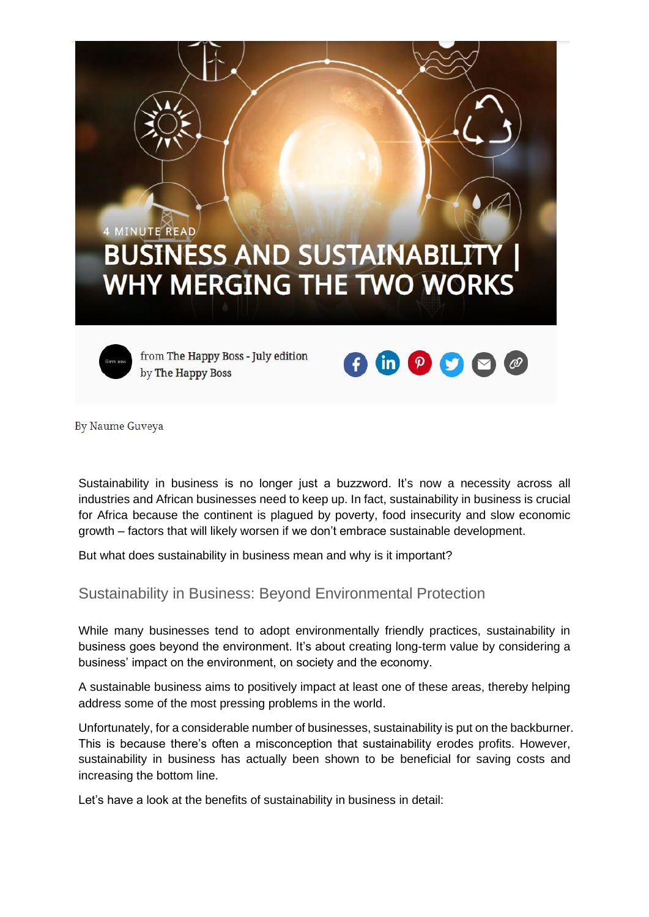

By Naume Guveya

Sustainability in business is no longer just a buzzword. It's now a necessity across all industries and African businesses need to keep up. In fact, sustainability in business is crucial for Africa because the continent is plagued by poverty, food insecurity and slow economic growth – factors that will likely worsen if we don't embrace sustainable development.

But what does sustainability in business mean and why is it important?

Sustainability in Business: Beyond Environmental Protection

While many businesses tend to adopt environmentally friendly practices, sustainability in business goes beyond the environment. It's about creating long-term value by considering a business' impact on the environment, on society and the economy.

A sustainable business aims to positively impact at least one of these areas, thereby helping address some of the most pressing problems in the world.

Unfortunately, for a considerable number of businesses, sustainability is put on the backburner. This is because there's often a misconception that sustainability erodes profits. However, sustainability in business has actually been shown to be beneficial for saving costs and increasing the bottom line.

Let's have a look at the benefits of sustainability in business in detail: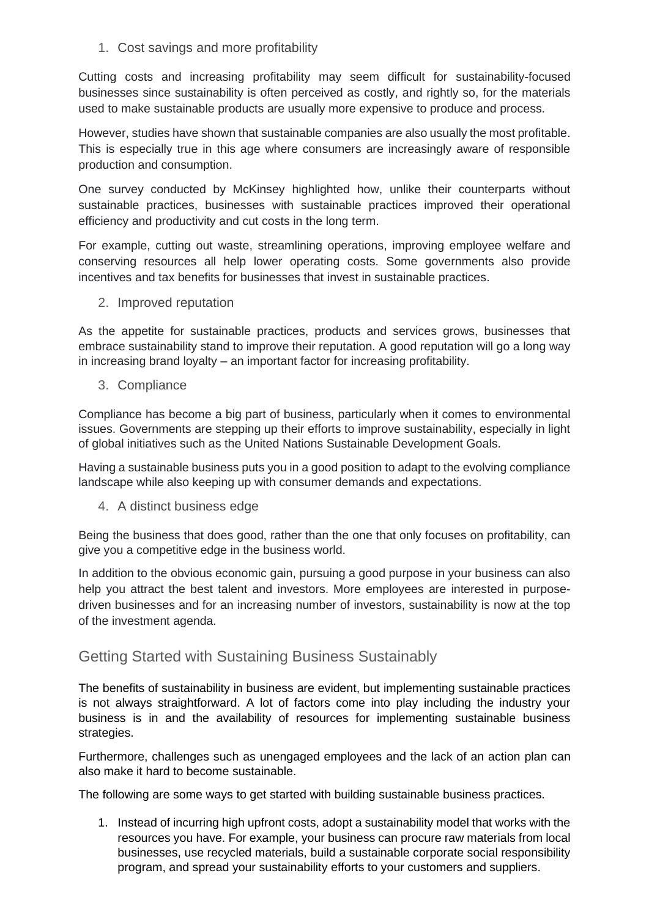1. Cost savings and more profitability

Cutting costs and increasing profitability may seem difficult for sustainability-focused businesses since sustainability is often perceived as costly, and rightly so, for the materials used to make sustainable products are usually more expensive to produce and process.

However, studies have shown that sustainable companies are also usually the most profitable. This is especially true in this age where consumers are increasingly aware of responsible production and consumption.

One survey conducted by McKinsey highlighted how, unlike their counterparts without sustainable practices, businesses with sustainable practices improved their operational efficiency and productivity and cut costs in the long term.

For example, cutting out waste, streamlining operations, improving employee welfare and conserving resources all help lower operating costs. Some governments also provide incentives and tax benefits for businesses that invest in sustainable practices.

2. Improved reputation

As the appetite for sustainable practices, products and services grows, businesses that embrace sustainability stand to improve their reputation. A good reputation will go a long way in increasing brand loyalty – an important factor for increasing profitability.

3. Compliance

Compliance has become a big part of business, particularly when it comes to environmental issues. Governments are stepping up their efforts to improve sustainability, especially in light of global initiatives such as the United Nations Sustainable Development Goals.

Having a sustainable business puts you in a good position to adapt to the evolving compliance landscape while also keeping up with consumer demands and expectations.

4. A distinct business edge

Being the business that does good, rather than the one that only focuses on profitability, can give you a competitive edge in the business world.

In addition to the obvious economic gain, pursuing a good purpose in your business can also help you attract the best talent and investors. More employees are interested in purposedriven businesses and for an increasing number of investors, sustainability is now at the top of the investment agenda.

## Getting Started with Sustaining Business Sustainably

The benefits of sustainability in business are evident, but implementing sustainable practices is not always straightforward. A lot of factors come into play including the industry your business is in and the availability of resources for implementing sustainable business strategies.

Furthermore, challenges such as unengaged employees and the lack of an action plan can also make it hard to become sustainable.

The following are some ways to get started with building sustainable business practices.

1. Instead of incurring high upfront costs, adopt a sustainability model that works with the resources you have. For example, your business can procure raw materials from local businesses, use recycled materials, build a sustainable corporate social responsibility program, and spread your sustainability efforts to your customers and suppliers.